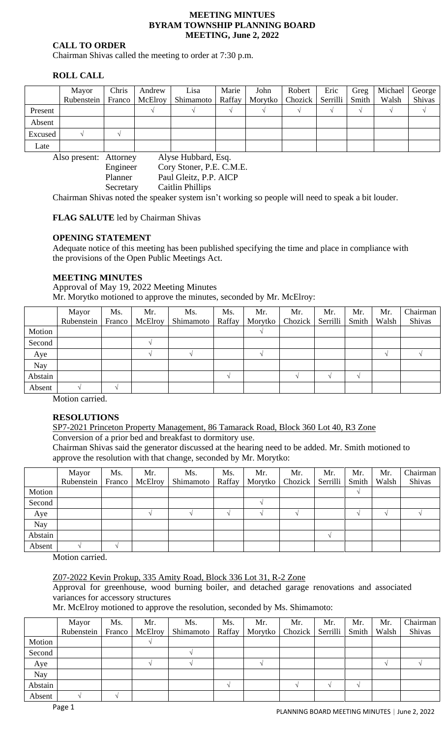#### **MEETING MINTUES BYRAM TOWNSHIP PLANNING BOARD MEETING, June 2, 2022**

### **CALL TO ORDER**

Chairman Shivas called the meeting to order at 7:30 p.m.

## **ROLL CALL**

|                                               | Mayor      | Chris | Andrew           | Lisa      | Marie  | John    | Robert         | Eric     | Greg  | Michael | George |
|-----------------------------------------------|------------|-------|------------------|-----------|--------|---------|----------------|----------|-------|---------|--------|
|                                               | Rubenstein |       | Franco   McElroy | Shimamoto | Raffay | Morytko | <b>Chozick</b> | Serrilli | Smith | Walsh   | Shivas |
| Present                                       |            |       |                  |           |        |         |                |          |       |         |        |
| Absent                                        |            |       |                  |           |        |         |                |          |       |         |        |
| Excused                                       |            |       |                  |           |        |         |                |          |       |         |        |
| Late                                          |            |       |                  |           |        |         |                |          |       |         |        |
| Alyse Hubbard, Esq.<br>Also present: Attorney |            |       |                  |           |        |         |                |          |       |         |        |

Engineer Cory Stoner, P.E. C.M.E. Planner Paul Gleitz, P.P. AICP Secretary Caitlin Phillips

Chairman Shivas noted the speaker system isn't working so people will need to speak a bit louder.

# **FLAG SALUTE** led by Chairman Shivas

## **OPENING STATEMENT**

Adequate notice of this meeting has been published specifying the time and place in compliance with the provisions of the Open Public Meetings Act.

#### **MEETING MINUTES**

Approval of May 19, 2022 Meeting Minutes Mr. Morytko motioned to approve the minutes, seconded by Mr. McElroy:

|         | Mayor      | Ms.    | Mr.     | Ms.       | Ms.    | Mr.     | Mr.     | Mr.      | Mr.   | Mr.   | Chairman |
|---------|------------|--------|---------|-----------|--------|---------|---------|----------|-------|-------|----------|
|         | Rubenstein | Franco | McElroy | Shimamoto | Raffay | Morytko | Chozick | Serrilli | Smith | Walsh | Shivas   |
| Motion  |            |        |         |           |        |         |         |          |       |       |          |
| Second  |            |        |         |           |        |         |         |          |       |       |          |
| Aye     |            |        |         |           |        |         |         |          |       |       |          |
| Nay     |            |        |         |           |        |         |         |          |       |       |          |
| Abstain |            |        |         |           |        |         |         |          |       |       |          |
| Absent  |            |        |         |           |        |         |         |          |       |       |          |

Motion carried.

#### **RESOLUTIONS**

SP7-2021 Princeton Property Management, 86 Tamarack Road, Block 360 Lot 40, R3 Zone Conversion of a prior bed and breakfast to dormitory use.

Chairman Shivas said the generator discussed at the hearing need to be added. Mr. Smith motioned to approve the resolution with that change, seconded by Mr. Morytko:

|         | Mayor<br>Rubenstein | Ms.<br>Franco | Mr.<br>McElroy | Ms.<br>Shimamoto | Ms.<br>Raffay | Mr.<br>Morytko | Mr.<br>Chozick | Mr.<br>Serrilli | Mr.<br>Smith | Mr.<br>Walsh | Chairman<br>Shivas |
|---------|---------------------|---------------|----------------|------------------|---------------|----------------|----------------|-----------------|--------------|--------------|--------------------|
| Motion  |                     |               |                |                  |               |                |                |                 |              |              |                    |
| Second  |                     |               |                |                  |               |                |                |                 |              |              |                    |
| Aye     |                     |               |                |                  |               |                |                |                 |              |              |                    |
| Nay     |                     |               |                |                  |               |                |                |                 |              |              |                    |
| Abstain |                     |               |                |                  |               |                |                |                 |              |              |                    |
| Absent  |                     |               |                |                  |               |                |                |                 |              |              |                    |

Motion carried.

#### Z07-2022 Kevin Prokup, 335 Amity Road, Block 336 Lot 31, R-2 Zone

Approval for greenhouse, wood burning boiler, and detached garage renovations and associated variances for accessory structures

Mr. McElroy motioned to approve the resolution, seconded by Ms. Shimamoto:

|         | Mayor      | Ms.    | Mr.     | Ms.       | Ms.    | Mr.     | Mr.                        | Mr. | Mr. | Mr.   | Chairman |
|---------|------------|--------|---------|-----------|--------|---------|----------------------------|-----|-----|-------|----------|
|         | Rubenstein | Franco | McElroy | Shimamoto | Raffay | Morytko | Chozick   Serrilli   Smith |     |     | Walsh | Shivas   |
| Motion  |            |        |         |           |        |         |                            |     |     |       |          |
| Second  |            |        |         |           |        |         |                            |     |     |       |          |
| Aye     |            |        |         |           |        |         |                            |     |     |       |          |
| Nay     |            |        |         |           |        |         |                            |     |     |       |          |
| Abstain |            |        |         |           |        |         |                            |     |     |       |          |
| Absent  |            |        |         |           |        |         |                            |     |     |       |          |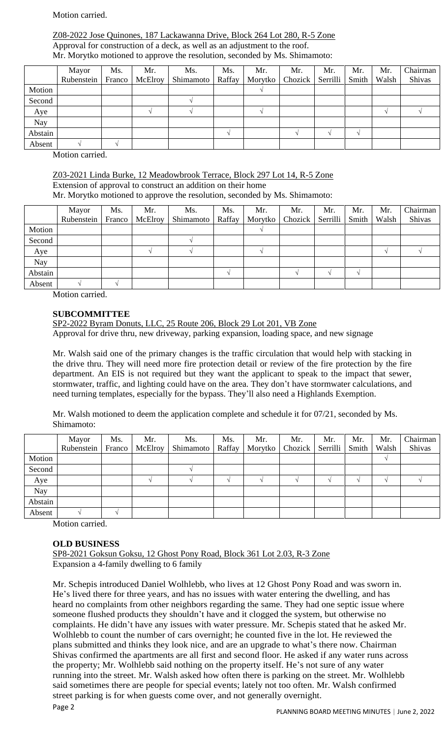### Motion carried.

### Z08-2022 Jose Quinones, 187 Lackawanna Drive, Block 264 Lot 280, R-5 Zone Approval for construction of a deck, as well as an adjustment to the roof. Mr. Morytko motioned to approve the resolution, seconded by Ms. Shimamoto:

|         | Mayor<br>Rubenstein | Ms. | Mr.<br>Franco McElroy | Ms.<br>Shimamoto | Ms.<br>Raffay | Mr.<br>Morytko | Mr.<br>Chozick | Mr.<br>Serrilli | Mr.<br>Smith | Mr.<br>Walsh | Chairman<br>Shivas |
|---------|---------------------|-----|-----------------------|------------------|---------------|----------------|----------------|-----------------|--------------|--------------|--------------------|
| Motion  |                     |     |                       |                  |               |                |                |                 |              |              |                    |
| Second  |                     |     |                       |                  |               |                |                |                 |              |              |                    |
| Aye     |                     |     |                       |                  |               |                |                |                 |              |              |                    |
| Nay     |                     |     |                       |                  |               |                |                |                 |              |              |                    |
| Abstain |                     |     |                       |                  |               |                |                |                 |              |              |                    |
| Absent  |                     |     |                       |                  |               |                |                |                 |              |              |                    |

Motion carried.

Z03-2021 Linda Burke, 12 Meadowbrook Terrace, Block 297 Lot 14, R-5 Zone Extension of approval to construct an addition on their home Mr. Morytko motioned to approve the resolution, seconded by Ms. Shimamoto:

|         | Mayor      | Ms.    | Mr.     | Ms.       | Ms.    | Mr.     | Mr.              | Mr. | Mr.   | Mr.   | Chairman |
|---------|------------|--------|---------|-----------|--------|---------|------------------|-----|-------|-------|----------|
|         | Rubenstein | Franco | McElroy | Shimamoto | Raffay | Morytko | Chozick Serrilli |     | Smith | Walsh | Shivas   |
| Motion  |            |        |         |           |        |         |                  |     |       |       |          |
| Second  |            |        |         |           |        |         |                  |     |       |       |          |
| Aye     |            |        |         |           |        |         |                  |     |       |       |          |
| Nay     |            |        |         |           |        |         |                  |     |       |       |          |
| Abstain |            |        |         |           |        |         |                  |     |       |       |          |
| Absent  |            |        |         |           |        |         |                  |     |       |       |          |

Motion carried.

## **SUBCOMMITTEE**

SP2-2022 Byram Donuts, LLC, 25 Route 206, Block 29 Lot 201, VB Zone Approval for drive thru, new driveway, parking expansion, loading space, and new signage

Mr. Walsh said one of the primary changes is the traffic circulation that would help with stacking in the drive thru. They will need more fire protection detail or review of the fire protection by the fire department. An EIS is not required but they want the applicant to speak to the impact that sewer, stormwater, traffic, and lighting could have on the area. They don't have stormwater calculations, and need turning templates, especially for the bypass. They'll also need a Highlands Exemption.

Mr. Walsh motioned to deem the application complete and schedule it for 07/21, seconded by Ms. Shimamoto:

|         | Mayor      | Ms.    | Mr.     | Ms.       | Ms.    | Mr.     | Mr.     | Mr.              | Mr. | Mr.   | Chairman |
|---------|------------|--------|---------|-----------|--------|---------|---------|------------------|-----|-------|----------|
|         | Rubenstein | Franco | McElroy | Shimamoto | Raffay | Morytko | Chozick | Serrilli   Smith |     | Walsh | Shivas   |
| Motion  |            |        |         |           |        |         |         |                  |     |       |          |
| Second  |            |        |         |           |        |         |         |                  |     |       |          |
| Aye     |            |        |         |           |        |         |         |                  |     |       |          |
| Nay     |            |        |         |           |        |         |         |                  |     |       |          |
| Abstain |            |        |         |           |        |         |         |                  |     |       |          |
| Absent  |            |        |         |           |        |         |         |                  |     |       |          |

Motion carried.

#### **OLD BUSINESS**

SP8-2021 Goksun Goksu, 12 Ghost Pony Road, Block 361 Lot 2.03, R-3 Zone Expansion a 4-family dwelling to 6 family

Page 2 Mr. Schepis introduced Daniel Wolhlebb, who lives at 12 Ghost Pony Road and was sworn in. He's lived there for three years, and has no issues with water entering the dwelling, and has heard no complaints from other neighbors regarding the same. They had one septic issue where someone flushed products they shouldn't have and it clogged the system, but otherwise no complaints. He didn't have any issues with water pressure. Mr. Schepis stated that he asked Mr. Wolhlebb to count the number of cars overnight; he counted five in the lot. He reviewed the plans submitted and thinks they look nice, and are an upgrade to what's there now. Chairman Shivas confirmed the apartments are all first and second floor. He asked if any water runs across the property; Mr. Wolhlebb said nothing on the property itself. He's not sure of any water running into the street. Mr. Walsh asked how often there is parking on the street. Mr. Wolhlebb said sometimes there are people for special events; lately not too often. Mr. Walsh confirmed street parking is for when guests come over, and not generally overnight.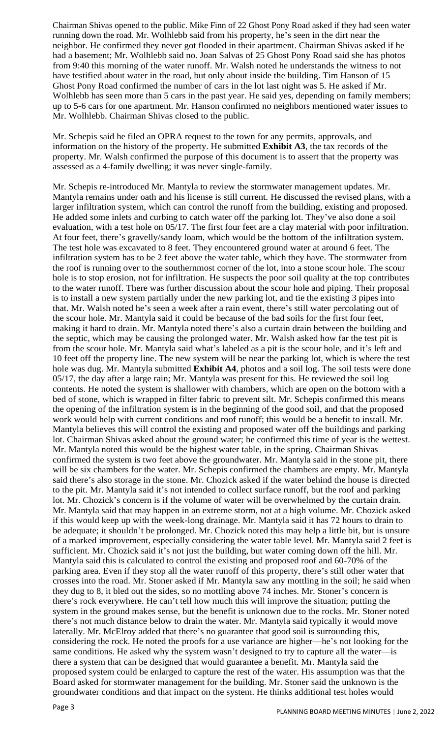Chairman Shivas opened to the public. Mike Finn of 22 Ghost Pony Road asked if they had seen water running down the road. Mr. Wolhlebb said from his property, he's seen in the dirt near the neighbor. He confirmed they never got flooded in their apartment. Chairman Shivas asked if he had a basement; Mr. Wolhlebb said no. Joan Salvas of 25 Ghost Pony Road said she has photos from 9:40 this morning of the water runoff. Mr. Walsh noted he understands the witness to not have testified about water in the road, but only about inside the building. Tim Hanson of 15 Ghost Pony Road confirmed the number of cars in the lot last night was 5. He asked if Mr. Wolhlebb has seen more than 5 cars in the past year. He said yes, depending on family members; up to 5-6 cars for one apartment. Mr. Hanson confirmed no neighbors mentioned water issues to Mr. Wolhlebb. Chairman Shivas closed to the public.

Mr. Schepis said he filed an OPRA request to the town for any permits, approvals, and information on the history of the property. He submitted **Exhibit A3**, the tax records of the property. Mr. Walsh confirmed the purpose of this document is to assert that the property was assessed as a 4-family dwelling; it was never single-family.

Mr. Schepis re-introduced Mr. Mantyla to review the stormwater management updates. Mr. Mantyla remains under oath and his license is still current. He discussed the revised plans, with a larger infiltration system, which can control the runoff from the building, existing and proposed. He added some inlets and curbing to catch water off the parking lot. They've also done a soil evaluation, with a test hole on 05/17. The first four feet are a clay material with poor infiltration. At four feet, there's gravelly/sandy loam, which would be the bottom of the infiltration system. The test hole was excavated to 8 feet. They encountered ground water at around 6 feet. The infiltration system has to be 2 feet above the water table, which they have. The stormwater from the roof is running over to the southernmost corner of the lot, into a stone scour hole. The scour hole is to stop erosion, not for infiltration. He suspects the poor soil quality at the top contributes to the water runoff. There was further discussion about the scour hole and piping. Their proposal is to install a new system partially under the new parking lot, and tie the existing 3 pipes into that. Mr. Walsh noted he's seen a week after a rain event, there's still water percolating out of the scour hole. Mr. Mantyla said it could be because of the bad soils for the first four feet, making it hard to drain. Mr. Mantyla noted there's also a curtain drain between the building and the septic, which may be causing the prolonged water. Mr. Walsh asked how far the test pit is from the scour hole. Mr. Mantyla said what's labeled as a pit is the scour hole, and it's left and 10 feet off the property line. The new system will be near the parking lot, which is where the test hole was dug. Mr. Mantyla submitted **Exhibit A4**, photos and a soil log. The soil tests were done 05/17, the day after a large rain; Mr. Mantyla was present for this. He reviewed the soil log contents. He noted the system is shallower with chambers, which are open on the bottom with a bed of stone, which is wrapped in filter fabric to prevent silt. Mr. Schepis confirmed this means the opening of the infiltration system is in the beginning of the good soil, and that the proposed work would help with current conditions and roof runoff; this would be a benefit to install. Mr. Mantyla believes this will control the existing and proposed water off the buildings and parking lot. Chairman Shivas asked about the ground water; he confirmed this time of year is the wettest. Mr. Mantyla noted this would be the highest water table, in the spring. Chairman Shivas confirmed the system is two feet above the groundwater. Mr. Mantyla said in the stone pit, there will be six chambers for the water. Mr. Schepis confirmed the chambers are empty. Mr. Mantyla said there's also storage in the stone. Mr. Chozick asked if the water behind the house is directed to the pit. Mr. Mantyla said it's not intended to collect surface runoff, but the roof and parking lot. Mr. Chozick's concern is if the volume of water will be overwhelmed by the curtain drain. Mr. Mantyla said that may happen in an extreme storm, not at a high volume. Mr. Chozick asked if this would keep up with the week-long drainage. Mr. Mantyla said it has 72 hours to drain to be adequate; it shouldn't be prolonged. Mr. Chozick noted this may help a little bit, but is unsure of a marked improvement, especially considering the water table level. Mr. Mantyla said 2 feet is sufficient. Mr. Chozick said it's not just the building, but water coming down off the hill. Mr. Mantyla said this is calculated to control the existing and proposed roof and 60-70% of the parking area. Even if they stop all the water runoff of this property, there's still other water that crosses into the road. Mr. Stoner asked if Mr. Mantyla saw any mottling in the soil; he said when they dug to 8, it bled out the sides, so no mottling above 74 inches. Mr. Stoner's concern is there's rock everywhere. He can't tell how much this will improve the situation; putting the system in the ground makes sense, but the benefit is unknown due to the rocks. Mr. Stoner noted there's not much distance below to drain the water. Mr. Mantyla said typically it would move laterally. Mr. McElroy added that there's no guarantee that good soil is surrounding this, considering the rock. He noted the proofs for a use variance are higher—he's not looking for the same conditions. He asked why the system wasn't designed to try to capture all the water—is there a system that can be designed that would guarantee a benefit. Mr. Mantyla said the proposed system could be enlarged to capture the rest of the water. His assumption was that the Board asked for stormwater management for the building. Mr. Stoner said the unknown is the groundwater conditions and that impact on the system. He thinks additional test holes would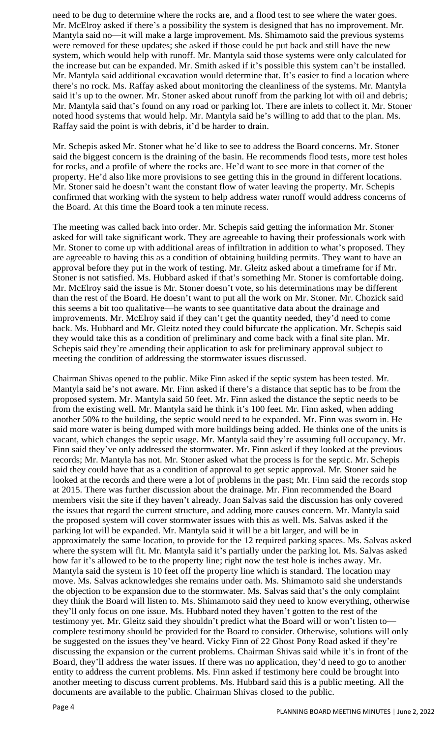need to be dug to determine where the rocks are, and a flood test to see where the water goes. Mr. McElroy asked if there's a possibility the system is designed that has no improvement. Mr. Mantyla said no—it will make a large improvement. Ms. Shimamoto said the previous systems were removed for these updates; she asked if those could be put back and still have the new system, which would help with runoff. Mr. Mantyla said those systems were only calculated for the increase but can be expanded. Mr. Smith asked if it's possible this system can't be installed. Mr. Mantyla said additional excavation would determine that. It's easier to find a location where there's no rock. Ms. Raffay asked about monitoring the cleanliness of the systems. Mr. Mantyla said it's up to the owner. Mr. Stoner asked about runoff from the parking lot with oil and debris; Mr. Mantyla said that's found on any road or parking lot. There are inlets to collect it. Mr. Stoner noted hood systems that would help. Mr. Mantyla said he's willing to add that to the plan. Ms. Raffay said the point is with debris, it'd be harder to drain.

Mr. Schepis asked Mr. Stoner what he'd like to see to address the Board concerns. Mr. Stoner said the biggest concern is the draining of the basin. He recommends flood tests, more test holes for rocks, and a profile of where the rocks are. He'd want to see more in that corner of the property. He'd also like more provisions to see getting this in the ground in different locations. Mr. Stoner said he doesn't want the constant flow of water leaving the property. Mr. Schepis confirmed that working with the system to help address water runoff would address concerns of the Board. At this time the Board took a ten minute recess.

The meeting was called back into order. Mr. Schepis said getting the information Mr. Stoner asked for will take significant work. They are agreeable to having their professionals work with Mr. Stoner to come up with additional areas of infiltration in addition to what's proposed. They are agreeable to having this as a condition of obtaining building permits. They want to have an approval before they put in the work of testing. Mr. Gleitz asked about a timeframe for if Mr. Stoner is not satisfied. Ms. Hubbard asked if that's something Mr. Stoner is comfortable doing. Mr. McElroy said the issue is Mr. Stoner doesn't vote, so his determinations may be different than the rest of the Board. He doesn't want to put all the work on Mr. Stoner. Mr. Chozick said this seems a bit too qualitative—he wants to see quantitative data about the drainage and improvements. Mr. McElroy said if they can't get the quantity needed, they'd need to come back. Ms. Hubbard and Mr. Gleitz noted they could bifurcate the application. Mr. Schepis said they would take this as a condition of preliminary and come back with a final site plan. Mr. Schepis said they're amending their application to ask for preliminary approval subject to meeting the condition of addressing the stormwater issues discussed.

Chairman Shivas opened to the public. Mike Finn asked if the septic system has been tested. Mr. Mantyla said he's not aware. Mr. Finn asked if there's a distance that septic has to be from the proposed system. Mr. Mantyla said 50 feet. Mr. Finn asked the distance the septic needs to be from the existing well. Mr. Mantyla said he think it's 100 feet. Mr. Finn asked, when adding another 50% to the building, the septic would need to be expanded. Mr. Finn was sworn in. He said more water is being dumped with more buildings being added. He thinks one of the units is vacant, which changes the septic usage. Mr. Mantyla said they're assuming full occupancy. Mr. Finn said they've only addressed the stormwater. Mr. Finn asked if they looked at the previous records; Mr. Mantyla has not. Mr. Stoner asked what the process is for the septic. Mr. Schepis said they could have that as a condition of approval to get septic approval. Mr. Stoner said he looked at the records and there were a lot of problems in the past; Mr. Finn said the records stop at 2015. There was further discussion about the drainage. Mr. Finn recommended the Board members visit the site if they haven't already. Joan Salvas said the discussion has only covered the issues that regard the current structure, and adding more causes concern. Mr. Mantyla said the proposed system will cover stormwater issues with this as well. Ms. Salvas asked if the parking lot will be expanded. Mr. Mantyla said it will be a bit larger, and will be in approximately the same location, to provide for the 12 required parking spaces. Ms. Salvas asked where the system will fit. Mr. Mantyla said it's partially under the parking lot. Ms. Salvas asked how far it's allowed to be to the property line; right now the test hole is inches away. Mr. Mantyla said the system is 10 feet off the property line which is standard. The location may move. Ms. Salvas acknowledges she remains under oath. Ms. Shimamoto said she understands the objection to be expansion due to the stormwater. Ms. Salvas said that's the only complaint they think the Board will listen to. Ms. Shimamoto said they need to know everything, otherwise they'll only focus on one issue. Ms. Hubbard noted they haven't gotten to the rest of the testimony yet. Mr. Gleitz said they shouldn't predict what the Board will or won't listen to complete testimony should be provided for the Board to consider. Otherwise, solutions will only be suggested on the issues they've heard. Vicky Finn of 22 Ghost Pony Road asked if they're discussing the expansion or the current problems. Chairman Shivas said while it's in front of the Board, they'll address the water issues. If there was no application, they'd need to go to another entity to address the current problems. Ms. Finn asked if testimony here could be brought into another meeting to discuss current problems. Ms. Hubbard said this is a public meeting. All the documents are available to the public. Chairman Shivas closed to the public.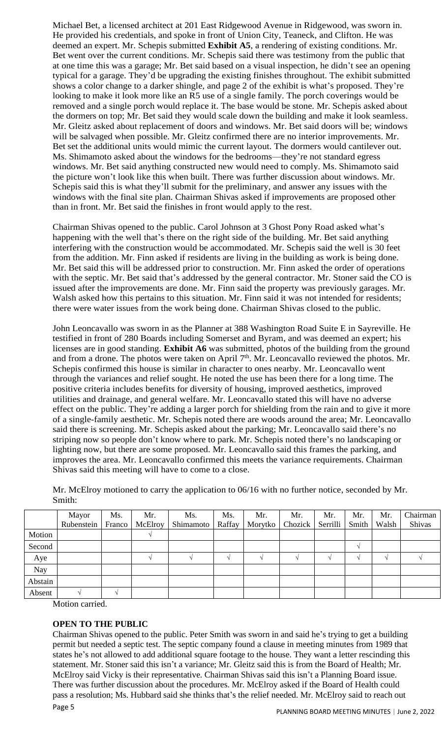Michael Bet, a licensed architect at 201 East Ridgewood Avenue in Ridgewood, was sworn in. He provided his credentials, and spoke in front of Union City, Teaneck, and Clifton. He was deemed an expert. Mr. Schepis submitted **Exhibit A5**, a rendering of existing conditions. Mr. Bet went over the current conditions. Mr. Schepis said there was testimony from the public that at one time this was a garage; Mr. Bet said based on a visual inspection, he didn't see an opening typical for a garage. They'd be upgrading the existing finishes throughout. The exhibit submitted shows a color change to a darker shingle, and page 2 of the exhibit is what's proposed. They're looking to make it look more like an R5 use of a single family. The porch coverings would be removed and a single porch would replace it. The base would be stone. Mr. Schepis asked about the dormers on top; Mr. Bet said they would scale down the building and make it look seamless. Mr. Gleitz asked about replacement of doors and windows. Mr. Bet said doors will be; windows will be salvaged when possible. Mr. Gleitz confirmed there are no interior improvements. Mr. Bet set the additional units would mimic the current layout. The dormers would cantilever out. Ms. Shimamoto asked about the windows for the bedrooms—they're not standard egress windows. Mr. Bet said anything constructed new would need to comply. Ms. Shimamoto said the picture won't look like this when built. There was further discussion about windows. Mr. Schepis said this is what they'll submit for the preliminary, and answer any issues with the windows with the final site plan. Chairman Shivas asked if improvements are proposed other than in front. Mr. Bet said the finishes in front would apply to the rest.

Chairman Shivas opened to the public. Carol Johnson at 3 Ghost Pony Road asked what's happening with the well that's there on the right side of the building. Mr. Bet said anything interfering with the construction would be accommodated. Mr. Schepis said the well is 30 feet from the addition. Mr. Finn asked if residents are living in the building as work is being done. Mr. Bet said this will be addressed prior to construction. Mr. Finn asked the order of operations with the septic. Mr. Bet said that's addressed by the general contractor. Mr. Stoner said the CO is issued after the improvements are done. Mr. Finn said the property was previously garages. Mr. Walsh asked how this pertains to this situation. Mr. Finn said it was not intended for residents; there were water issues from the work being done. Chairman Shivas closed to the public.

John Leoncavallo was sworn in as the Planner at 388 Washington Road Suite E in Sayreville. He testified in front of 280 Boards including Somerset and Byram, and was deemed an expert; his licenses are in good standing. **Exhibit A6** was submitted, photos of the building from the ground and from a drone. The photos were taken on April 7<sup>th</sup>. Mr. Leoncavallo reviewed the photos. Mr. Schepis confirmed this house is similar in character to ones nearby. Mr. Leoncavallo went through the variances and relief sought. He noted the use has been there for a long time. The positive criteria includes benefits for diversity of housing, improved aesthetics, improved utilities and drainage, and general welfare. Mr. Leoncavallo stated this will have no adverse effect on the public. They're adding a larger porch for shielding from the rain and to give it more of a single-family aesthetic. Mr. Schepis noted there are woods around the area; Mr. Leoncavallo said there is screening. Mr. Schepis asked about the parking; Mr. Leoncavallo said there's no striping now so people don't know where to park. Mr. Schepis noted there's no landscaping or lighting now, but there are some proposed. Mr. Leoncavallo said this frames the parking, and improves the area. Mr. Leoncavallo confirmed this meets the variance requirements. Chairman Shivas said this meeting will have to come to a close.

Mr. McElroy motioned to carry the application to 06/16 with no further notice, seconded by Mr. Smith:

|         | Mayor      | Ms.    | Mr.     | Ms.       | Ms.    | Mr.     | Mr.     | Mr.      | Mr.   | Mr.   | Chairman |
|---------|------------|--------|---------|-----------|--------|---------|---------|----------|-------|-------|----------|
|         | Rubenstein | Franco | McElroy | Shimamoto | Raffay | Morytko | Chozick | Serrilli | Smith | Walsh | Shivas   |
| Motion  |            |        |         |           |        |         |         |          |       |       |          |
| Second  |            |        |         |           |        |         |         |          |       |       |          |
| Aye     |            |        |         |           |        |         |         |          |       |       |          |
| Nay     |            |        |         |           |        |         |         |          |       |       |          |
| Abstain |            |        |         |           |        |         |         |          |       |       |          |
| Absent  |            |        |         |           |        |         |         |          |       |       |          |

Motion carried.

# **OPEN TO THE PUBLIC**

Page 5 Chairman Shivas opened to the public. Peter Smith was sworn in and said he's trying to get a building permit but needed a septic test. The septic company found a clause in meeting minutes from 1989 that states he's not allowed to add additional square footage to the house. They want a letter rescinding this statement. Mr. Stoner said this isn't a variance; Mr. Gleitz said this is from the Board of Health; Mr. McElroy said Vicky is their representative. Chairman Shivas said this isn't a Planning Board issue. There was further discussion about the procedures. Mr. McElroy asked if the Board of Health could pass a resolution; Ms. Hubbard said she thinks that's the relief needed. Mr. McElroy said to reach out